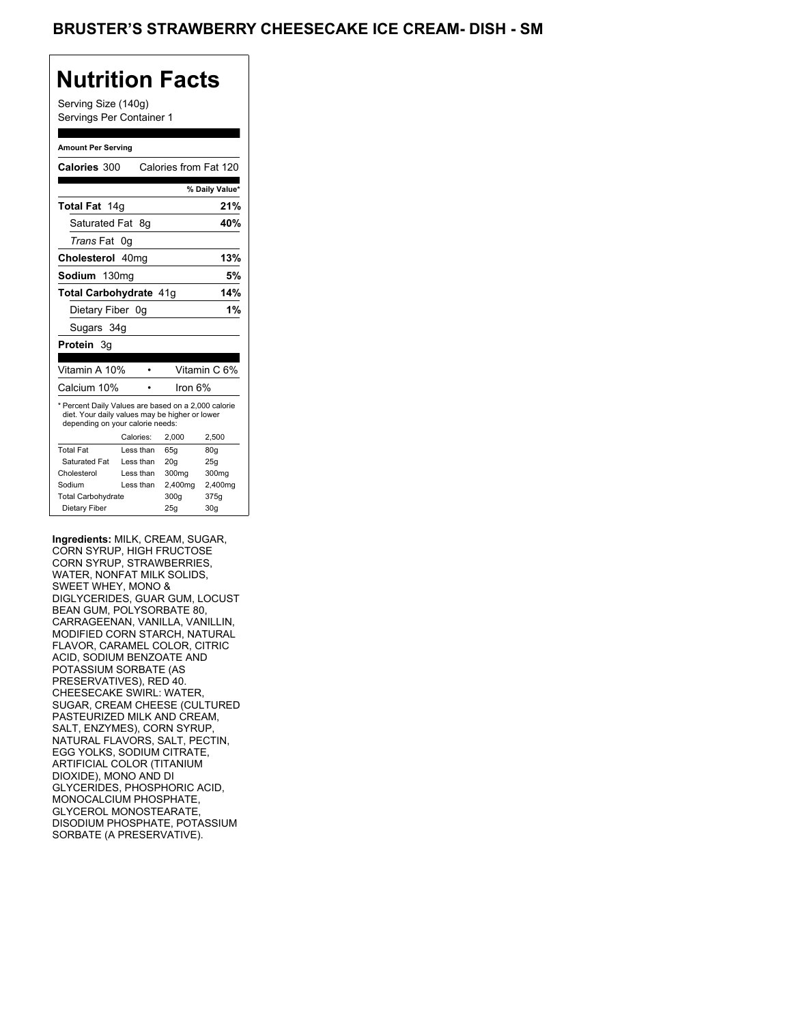### BRUSTER'S STRAWBERRY CHEESECAKE ICE CREAM- DISH - SM

### **Nutrition Facts**

Serving Size (140g) Servings Per Container 1

#### **Amount Per Serving**

| Calories 300                                                                                                                              |           |           | Calories from Fat 120 |                 |
|-------------------------------------------------------------------------------------------------------------------------------------------|-----------|-----------|-----------------------|-----------------|
|                                                                                                                                           |           |           |                       | % Daily Value*  |
| <b>Total Fat</b> 14g                                                                                                                      |           |           |                       | 21%             |
| Saturated Fat 8q                                                                                                                          |           |           |                       | 40%             |
| <i>Trans</i> Fat                                                                                                                          | 0g        |           |                       |                 |
|                                                                                                                                           |           |           |                       |                 |
| Cholesterol 40mg                                                                                                                          |           |           |                       | 13%             |
| Sodium 130mg                                                                                                                              |           |           |                       | 5%              |
| <b>Total Carbohydrate 41g</b>                                                                                                             |           |           |                       | 14%             |
| Dietary Fiber 0g                                                                                                                          |           |           |                       | 1%              |
| Sugars 34g                                                                                                                                |           |           |                       |                 |
| Protein 3g                                                                                                                                |           |           |                       |                 |
|                                                                                                                                           |           |           |                       |                 |
| Vitamin A 10%                                                                                                                             |           |           |                       | Vitamin C 6%    |
| Calcium 10%                                                                                                                               |           |           | Iron 6%               |                 |
| * Percent Daily Values are based on a 2,000 calorie<br>diet. Your daily values may be higher or lower<br>depending on your calorie needs: |           |           |                       |                 |
|                                                                                                                                           | Calories: |           | 2.000                 | 2.500           |
| <b>Total Fat</b>                                                                                                                          |           | Less than | 65q                   | 80q             |
| Saturated Fat                                                                                                                             |           | Less than | 20q                   | 25q             |
| Cholesterol                                                                                                                               |           | Less than | 300mg                 | 300mg           |
| Sodium                                                                                                                                    |           | Less than | 2,400mg               | 2,400mg         |
| <b>Total Carbohydrate</b>                                                                                                                 |           |           | 300q                  | 375g            |
| Dietary Fiber                                                                                                                             |           |           | 25g                   | 30 <sub>g</sub> |

**Ingredients:** MILK, CREAM, SUGAR, CORN SYRUP, HIGH FRUCTOSE CORN SYRUP, STRAWBERRIES, WATER, NONFAT MILK SOLIDS, SWEET WHEY, MONO & DIGLYCERIDES, GUAR GUM, LOCUST BEAN GUM, POLYSORBATE 80, CARRAGEENAN, VANILLA, VANILLIN, MODIFIED CORN STARCH, NATURAL FLAVOR, CARAMEL COLOR, CITRIC ACID, SODIUM BENZOATE AND POTASSIUM SORBATE (AS PRESERVATIVES), RED 40. CHEESECAKE SWIRL: WATER, SUGAR, CREAM CHEESE (CULTURED PASTEURIZED MILK AND CREAM, SALT, ENZYMES), CORN SYRUP, NATURAL FLAVORS, SALT, PECTIN, EGG YOLKS, SODIUM CITRATE, ARTIFICIAL COLOR (TITANIUM DIOXIDE), MONO AND DI GLYCERIDES, PHOSPHORIC ACID, MONOCALCIUM PHOSPHATE, GLYCEROL MONOSTEARATE, DISODIUM PHOSPHATE, POTASSIUM SORBATE (A PRESERVATIVE).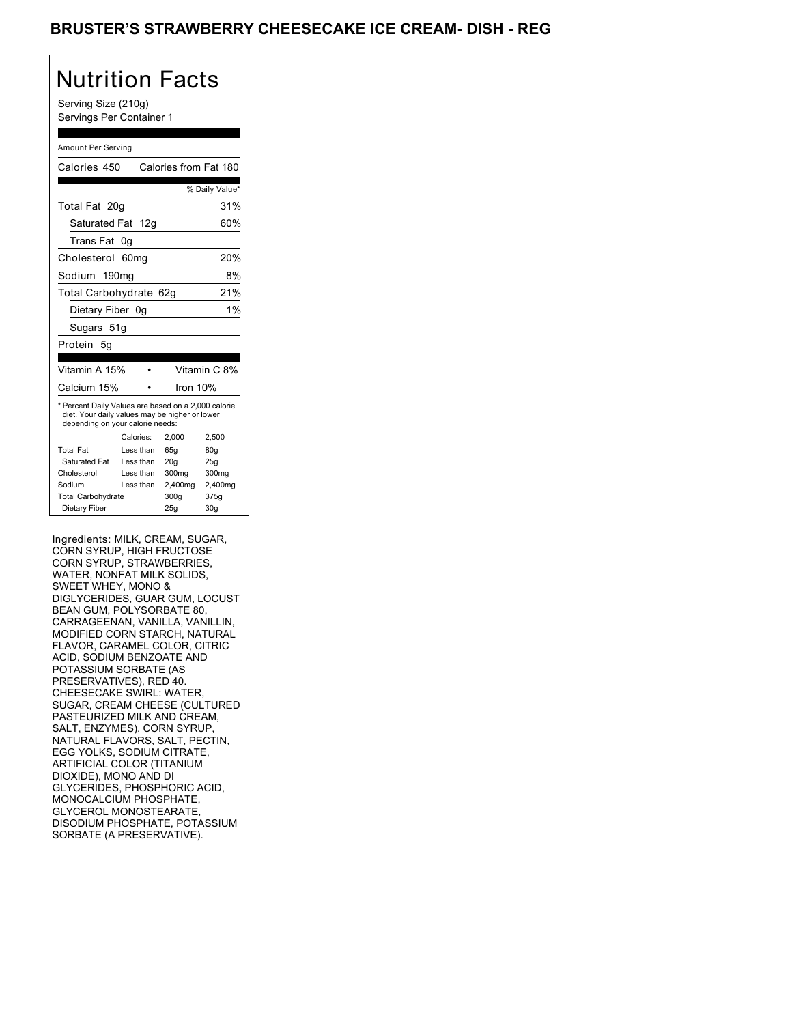### BRUSTER'S STRAWBERRY CHEESECAKE ICE CREAM- DISH - REG

# Nutrition Facts

Serving Size (210g) Servings Per Container 1

#### Amount Per Serving

| Calories 450                                                                                                                              |                  | Calories from Fat 180 |                |
|-------------------------------------------------------------------------------------------------------------------------------------------|------------------|-----------------------|----------------|
|                                                                                                                                           |                  |                       | % Daily Value* |
| Total Fat 20g                                                                                                                             |                  |                       | 31%            |
| Saturated Fat 12g                                                                                                                         |                  |                       | 60%            |
| Trans Fat                                                                                                                                 | 0g               |                       |                |
| Cholesterol                                                                                                                               | 60 <sub>mq</sub> |                       | 20%            |
| Sodium 190mg                                                                                                                              |                  |                       | 8%             |
| Total Carbohydrate 62g                                                                                                                    |                  |                       | 21%            |
| Dietary Fiber 0g                                                                                                                          |                  |                       | 1%             |
| Sugars 51g                                                                                                                                |                  |                       |                |
| Protein 5q                                                                                                                                |                  |                       |                |
|                                                                                                                                           |                  |                       |                |
|                                                                                                                                           |                  |                       |                |
| Vitamin A 15%                                                                                                                             |                  |                       | Vitamin C 8%   |
| Calcium 15%                                                                                                                               |                  | Iron $10%$            |                |
| * Percent Daily Values are based on a 2,000 calorie<br>diet. Your daily values may be higher or lower<br>depending on your calorie needs: |                  |                       |                |
|                                                                                                                                           | Calories:        | 2.000                 | 2.500          |
| <b>Total Fat</b>                                                                                                                          | Less than        | 65q                   | 80q            |
| Saturated Fat                                                                                                                             | Less than        | 20q                   | 25q            |
| Cholesterol                                                                                                                               | Less than        | 300mg                 | 300mg          |
| Sodium                                                                                                                                    | Less than        | 2,400mg               | 2,400mg        |
| <b>Total Carbohydrate</b>                                                                                                                 |                  | 300g                  | 375g           |

Ingredients: MILK, CREAM, SUGAR, CORN SYRUP, HIGH FRUCTOSE CORN SYRUP, STRAWBERRIES, WATER, NONFAT MILK SOLIDS, SWEET WHEY, MONO & DIGLYCERIDES, GUAR GUM, LOCUST BEAN GUM, POLYSORBATE 80, CARRAGEENAN, VANILLA, VANILLIN, MODIFIED CORN STARCH, NATURAL FLAVOR, CARAMEL COLOR, CITRIC ACID, SODIUM BENZOATE AND POTASSIUM SORBATE (AS PRESERVATIVES), RED 40. CHEESECAKE SWIRL: WATER, SUGAR, CREAM CHEESE (CULTURED PASTEURIZED MILK AND CREAM, SALT, ENZYMES), CORN SYRUP, NATURAL FLAVORS, SALT, PECTIN, EGG YOLKS, SODIUM CITRATE, ARTIFICIAL COLOR (TITANIUM DIOXIDE), MONO AND DI GLYCERIDES, PHOSPHORIC ACID, MONOCALCIUM PHOSPHATE, GLYCEROL MONOSTEARATE, DISODIUM PHOSPHATE, POTASSIUM SORBATE (A PRESERVATIVE).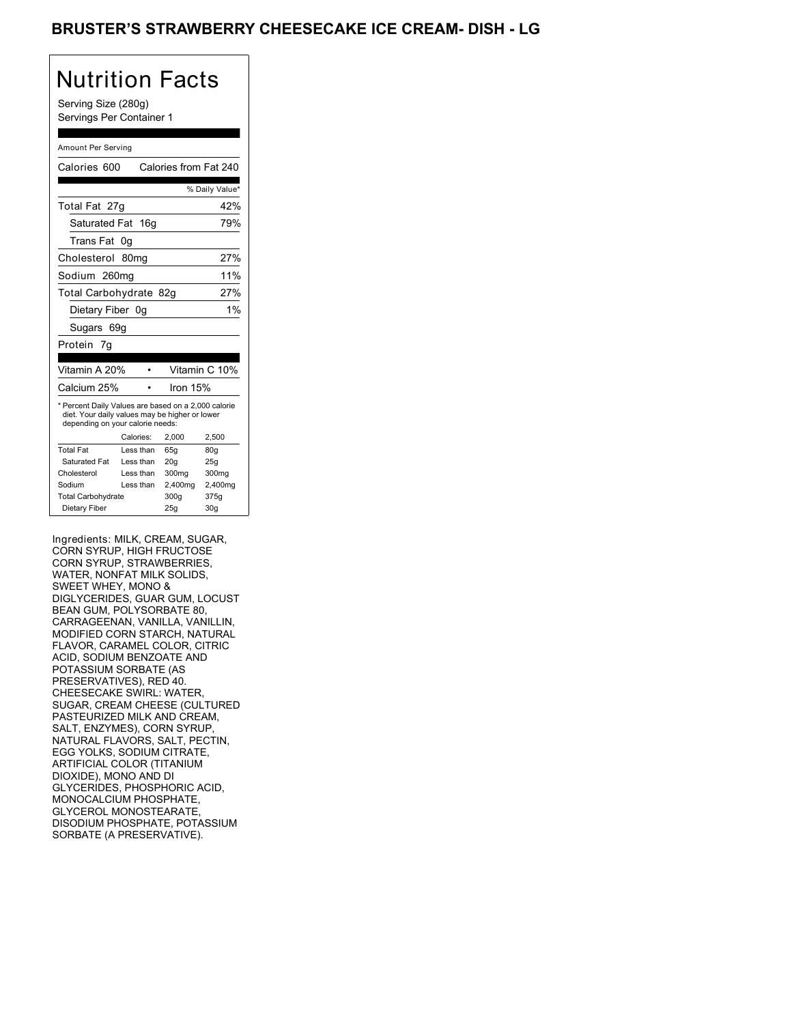### BRUSTER'S STRAWBERRY CHEESECAKE ICE CREAM- DISH - LG

# Nutrition Facts

Serving Size (280g) Servings Per Container 1

#### Amount Per Serving

| Calories 600                                                                                                                              |                  | Calories from Fat 240 |                |
|-------------------------------------------------------------------------------------------------------------------------------------------|------------------|-----------------------|----------------|
|                                                                                                                                           |                  |                       | % Daily Value* |
| Total Fat 27g                                                                                                                             |                  |                       | 42%            |
| Saturated Fat 16g                                                                                                                         |                  |                       | 79%            |
| Trans Fat                                                                                                                                 | 0g               |                       |                |
| Cholesterol                                                                                                                               | 80 <sub>mq</sub> |                       | 27%            |
| Sodium 260mg                                                                                                                              |                  |                       | 11%            |
| Total Carbohydrate 82g                                                                                                                    |                  |                       | 27%            |
| Dietary Fiber 0q                                                                                                                          |                  |                       | 1%             |
| Sugars 69g                                                                                                                                |                  |                       |                |
| Protein 7q                                                                                                                                |                  |                       |                |
|                                                                                                                                           |                  |                       |                |
| Vitamin A 20%                                                                                                                             |                  |                       | Vitamin C 10%  |
| Calcium 25%                                                                                                                               |                  | Iron 15%              |                |
| * Percent Daily Values are based on a 2,000 calorie<br>diet. Your daily values may be higher or lower<br>depending on your calorie needs: |                  |                       |                |
|                                                                                                                                           | Calories:        | 2.000                 | 2.500          |
|                                                                                                                                           |                  |                       |                |
| <b>Total Fat</b>                                                                                                                          | Less than        | 65q                   | 80q            |
| Saturated Fat                                                                                                                             | Less than        | 20q                   | 25q            |
| Cholesterol                                                                                                                               | Less than        | 300mg                 | 300mg          |
| Sodium                                                                                                                                    | Less than        | 2,400mg               | 2,400mg        |
| <b>Total Carbohydrate</b>                                                                                                                 |                  | 300g                  | 375g           |

Ingredients: MILK, CREAM, SUGAR, CORN SYRUP, HIGH FRUCTOSE CORN SYRUP, STRAWBERRIES, WATER, NONFAT MILK SOLIDS, SWEET WHEY, MONO & DIGLYCERIDES, GUAR GUM, LOCUST BEAN GUM, POLYSORBATE 80, CARRAGEENAN, VANILLA, VANILLIN, MODIFIED CORN STARCH, NATURAL FLAVOR, CARAMEL COLOR, CITRIC ACID, SODIUM BENZOATE AND POTASSIUM SORBATE (AS PRESERVATIVES), RED 40. CHEESECAKE SWIRL: WATER, SUGAR, CREAM CHEESE (CULTURED PASTEURIZED MILK AND CREAM, SALT, ENZYMES), CORN SYRUP, NATURAL FLAVORS, SALT, PECTIN, EGG YOLKS, SODIUM CITRATE, ARTIFICIAL COLOR (TITANIUM DIOXIDE), MONO AND DI GLYCERIDES, PHOSPHORIC ACID, MONOCALCIUM PHOSPHATE, GLYCEROL MONOSTEARATE, DISODIUM PHOSPHATE, POTASSIUM SORBATE (A PRESERVATIVE).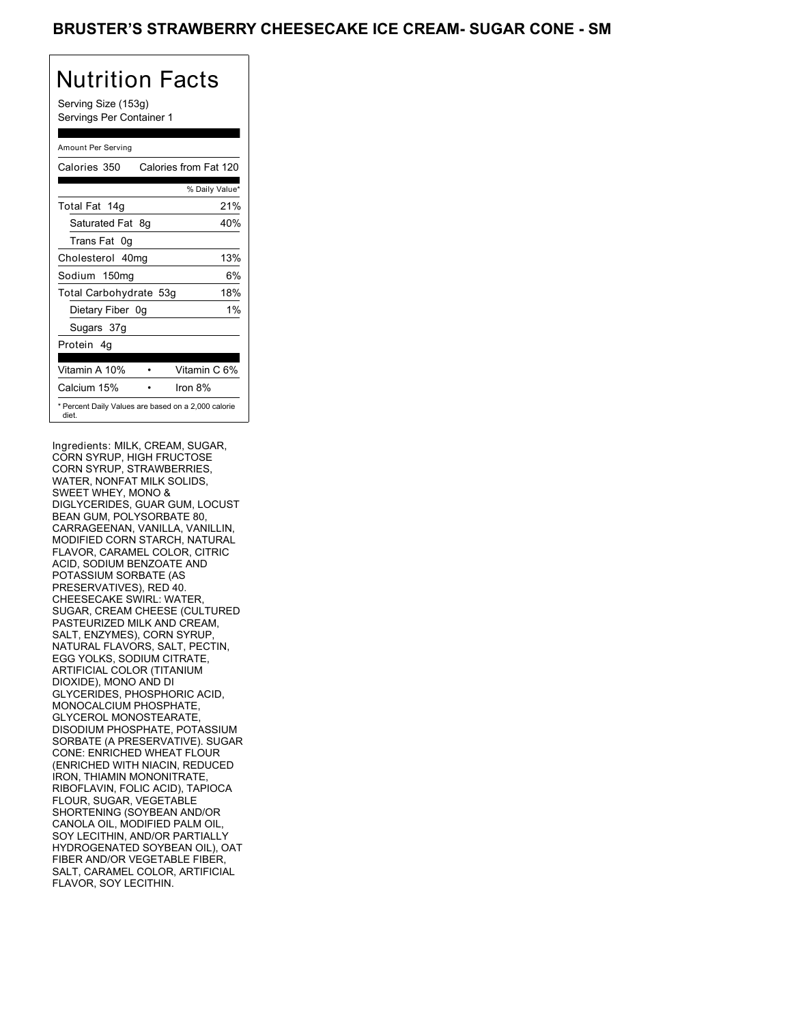Serving Size (153g) Servings Per Container 1

### Amount Per Serving

| Calories 350           | Calories from Fat 120                               |
|------------------------|-----------------------------------------------------|
|                        | % Daily Value*                                      |
| Total Fat 14g          | 21%                                                 |
| Saturated Fat 8g       | 40%                                                 |
| Trans Fat 0q           |                                                     |
| Cholesterol 40mg       | 13%                                                 |
| Sodium 150mg           | 6%                                                  |
| Total Carbohydrate 53g | 18%                                                 |
| Dietary Fiber 0g       | $1\%$                                               |
| Sugars 37g             |                                                     |
| Protein 4q             |                                                     |
| Vitamin A 10%          | Vitamin C 6%                                        |
| Calcium 15%            | Iron $8\%$                                          |
| diet.                  | * Percent Daily Values are based on a 2,000 calorie |

Ingredients: MILK, CREAM, SUGAR, CORN SYRUP, HIGH FRUCTOSE CORN SYRUP, STRAWBERRIES, WATER, NONFAT MILK SOLIDS, SWEET WHEY, MONO & DIGLYCERIDES, GUAR GUM, LOCUST BEAN GUM, POLYSORBATE 80, CARRAGEENAN, VANILLA, VANILLIN, MODIFIED CORN STARCH, NATURAL FLAVOR, CARAMEL COLOR, CITRIC ACID, SODIUM BENZOATE AND POTASSIUM SORBATE (AS PRESERVATIVES), RED 40. CHEESECAKE SWIRL: WATER, SUGAR, CREAM CHEESE (CULTURED PASTEURIZED MILK AND CREAM, SALT, ENZYMES), CORN SYRUP NATURAL FLAVORS, SALT, PECTIN, EGG YOLKS, SODIUM CITRATE, ARTIFICIAL COLOR (TITANIUM DIOXIDE), MONO AND DI GLYCERIDES, PHOSPHORIC ACID, MONOCALCIUM PHOSPHATE, GLYCEROL MONOSTEARATE, DISODIUM PHOSPHATE, POTASSIUM SORBATE (A PRESERVATIVE). SUGAR CONE: ENRICHED WHEAT FLOUR (ENRICHED WITH NIACIN, REDUCED IRON, THIAMIN MONONITRATE, RIBOFLAVIN, FOLIC ACID), TAPIOCA FLOUR, SUGAR, VEGETABLE SHORTENING (SOYBEAN AND/OR CANOLA OIL, MODIFIED PALM OIL, SOY LECITHIN, AND/OR PARTIALLY HYDROGENATED SOYBEAN OIL), OAT FIBER AND/OR VEGETABLE FIBER, SALT, CARAMEL COLOR, ARTIFICIAL FLAVOR, SOY LECITHIN.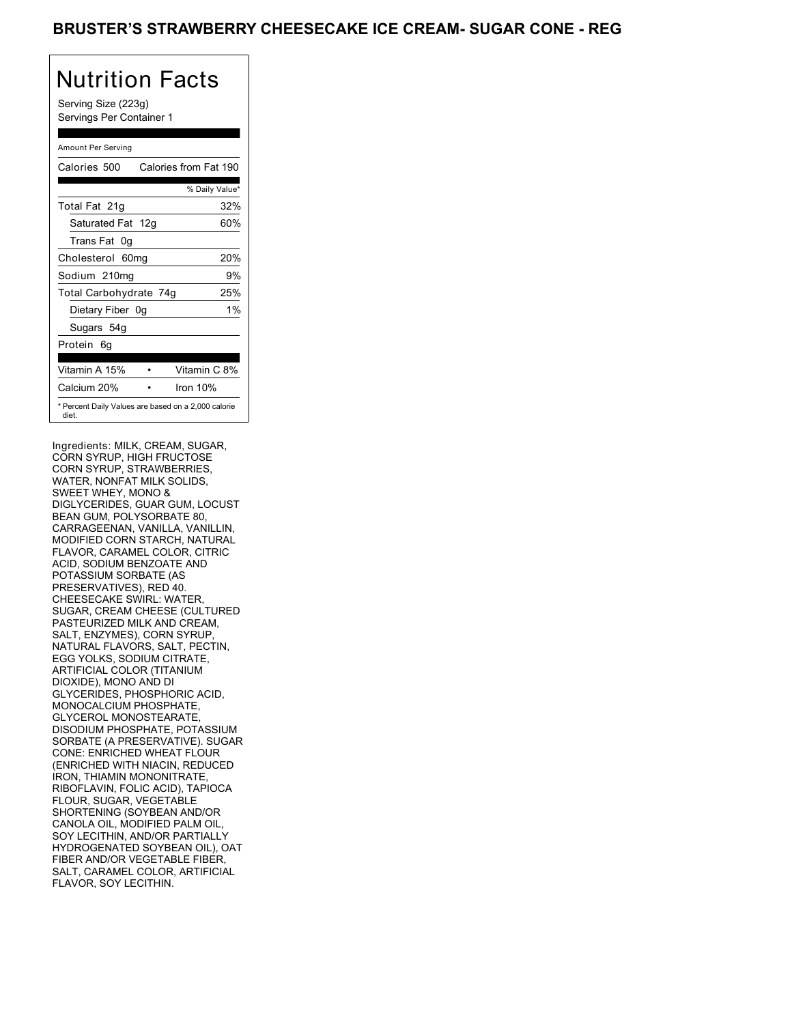Serving Size (223g) Servings Per Container 1

### Amount Per Serving

| Calories 500           | Calories from Fat 190                               |
|------------------------|-----------------------------------------------------|
|                        | % Daily Value*                                      |
| Total Fat 21g          | 32%                                                 |
| Saturated Fat 12g      | 60%                                                 |
| Trans Fat 0q           |                                                     |
| Cholesterol 60mg       | 20%                                                 |
| Sodium 210mg           | 9%                                                  |
| Total Carbohydrate 74g | 25%                                                 |
| Dietary Fiber 0g       | $1\%$                                               |
| Sugars 54g             |                                                     |
| Protein 6q             |                                                     |
| Vitamin A 15%          | Vitamin C 8%                                        |
| Calcium 20%            | Iron 10%                                            |
| diet.                  | * Percent Daily Values are based on a 2,000 calorie |

Ingredients: MILK, CREAM, SUGAR, CORN SYRUP, HIGH FRUCTOSE CORN SYRUP, STRAWBERRIES, WATER, NONFAT MILK SOLIDS, SWEET WHEY, MONO & DIGLYCERIDES, GUAR GUM, LOCUST BEAN GUM, POLYSORBATE 80, CARRAGEENAN, VANILLA, VANILLIN, MODIFIED CORN STARCH, NATURAL FLAVOR, CARAMEL COLOR, CITRIC ACID, SODIUM BENZOATE AND POTASSIUM SORBATE (AS PRESERVATIVES), RED 40. CHEESECAKE SWIRL: WATER, SUGAR, CREAM CHEESE (CULTURED PASTEURIZED MILK AND CREAM, SALT, ENZYMES), CORN SYRUP NATURAL FLAVORS, SALT, PECTIN, EGG YOLKS, SODIUM CITRATE, ARTIFICIAL COLOR (TITANIUM DIOXIDE), MONO AND DI GLYCERIDES, PHOSPHORIC ACID, MONOCALCIUM PHOSPHATE, GLYCEROL MONOSTEARATE, DISODIUM PHOSPHATE, POTASSIUM SORBATE (A PRESERVATIVE). SUGAR CONE: ENRICHED WHEAT FLOUR (ENRICHED WITH NIACIN, REDUCED IRON, THIAMIN MONONITRATE, RIBOFLAVIN, FOLIC ACID), TAPIOCA FLOUR, SUGAR, VEGETABLE SHORTENING (SOYBEAN AND/OR CANOLA OIL, MODIFIED PALM OIL, SOY LECITHIN, AND/OR PARTIALLY HYDROGENATED SOYBEAN OIL), OAT FIBER AND/OR VEGETABLE FIBER, SALT, CARAMEL COLOR, ARTIFICIAL FLAVOR, SOY LECITHIN.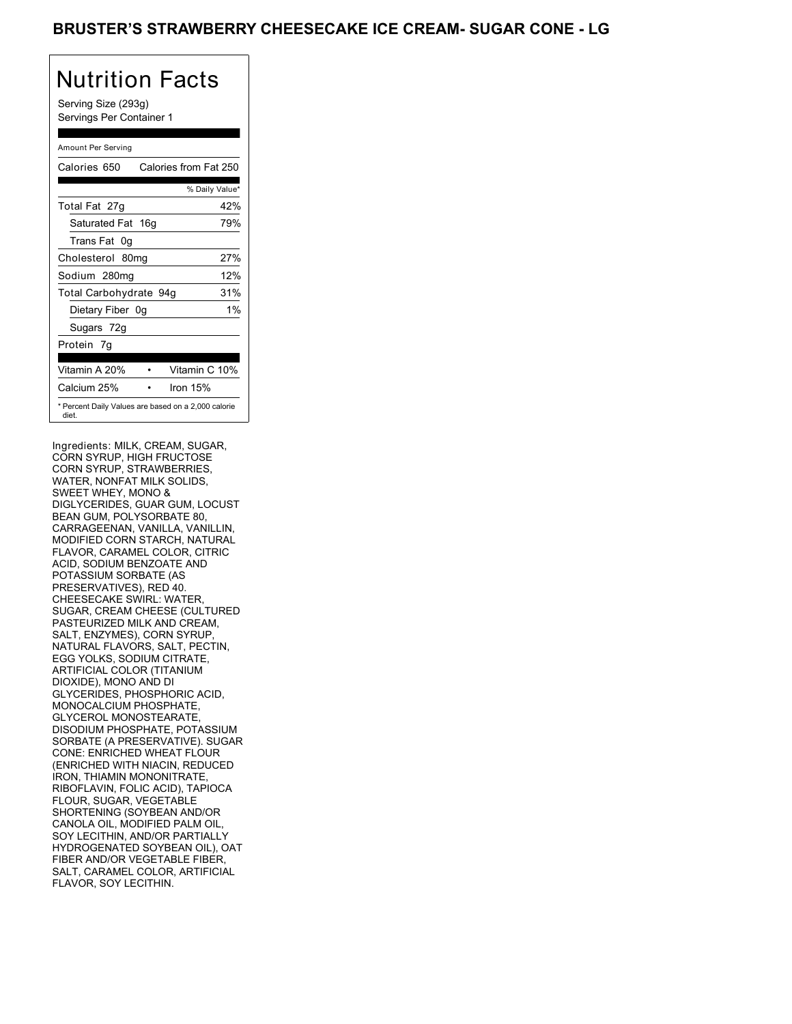Serving Size (293g) Servings Per Container 1

### Amount Per Serving

| Calories 650                                                 | Calories from Fat 250 |       |
|--------------------------------------------------------------|-----------------------|-------|
|                                                              | % Daily Value*        |       |
| Total Fat 27g                                                |                       | 42%   |
| Saturated Fat 16g                                            |                       | 79%   |
| Trans Fat 0q                                                 |                       |       |
| Cholesterol 80mg                                             |                       | 27%   |
| Sodium 280mg                                                 |                       | 12%   |
| Total Carbohydrate 94g                                       |                       | 31%   |
| Dietary Fiber 0g                                             |                       | $1\%$ |
| Sugars 72g                                                   |                       |       |
| Protein 7q                                                   |                       |       |
| Vitamin A 20%                                                | Vitamin C 10%         |       |
| Calcium 25%                                                  | Iron 15%              |       |
| * Percent Daily Values are based on a 2,000 calorie<br>diet. |                       |       |

Ingredients: MILK, CREAM, SUGAR, CORN SYRUP, HIGH FRUCTOSE CORN SYRUP, STRAWBERRIES, WATER, NONFAT MILK SOLIDS, SWEET WHEY, MONO & DIGLYCERIDES, GUAR GUM, LOCUST BEAN GUM, POLYSORBATE 80, CARRAGEENAN, VANILLA, VANILLIN, MODIFIED CORN STARCH, NATURAL FLAVOR, CARAMEL COLOR, CITRIC ACID, SODIUM BENZOATE AND POTASSIUM SORBATE (AS PRESERVATIVES), RED 40. CHEESECAKE SWIRL: WATER, SUGAR, CREAM CHEESE (CULTURED PASTEURIZED MILK AND CREAM, SALT, ENZYMES), CORN SYRUP NATURAL FLAVORS, SALT, PECTIN, EGG YOLKS, SODIUM CITRATE, ARTIFICIAL COLOR (TITANIUM DIOXIDE), MONO AND DI GLYCERIDES, PHOSPHORIC ACID, MONOCALCIUM PHOSPHATE, GLYCEROL MONOSTEARATE, DISODIUM PHOSPHATE, POTASSIUM SORBATE (A PRESERVATIVE). SUGAR CONE: ENRICHED WHEAT FLOUR (ENRICHED WITH NIACIN, REDUCED IRON, THIAMIN MONONITRATE, RIBOFLAVIN, FOLIC ACID), TAPIOCA FLOUR, SUGAR, VEGETABLE SHORTENING (SOYBEAN AND/OR CANOLA OIL, MODIFIED PALM OIL, SOY LECITHIN, AND/OR PARTIALLY HYDROGENATED SOYBEAN OIL), OAT FIBER AND/OR VEGETABLE FIBER, SALT, CARAMEL COLOR, ARTIFICIAL FLAVOR, SOY LECITHIN.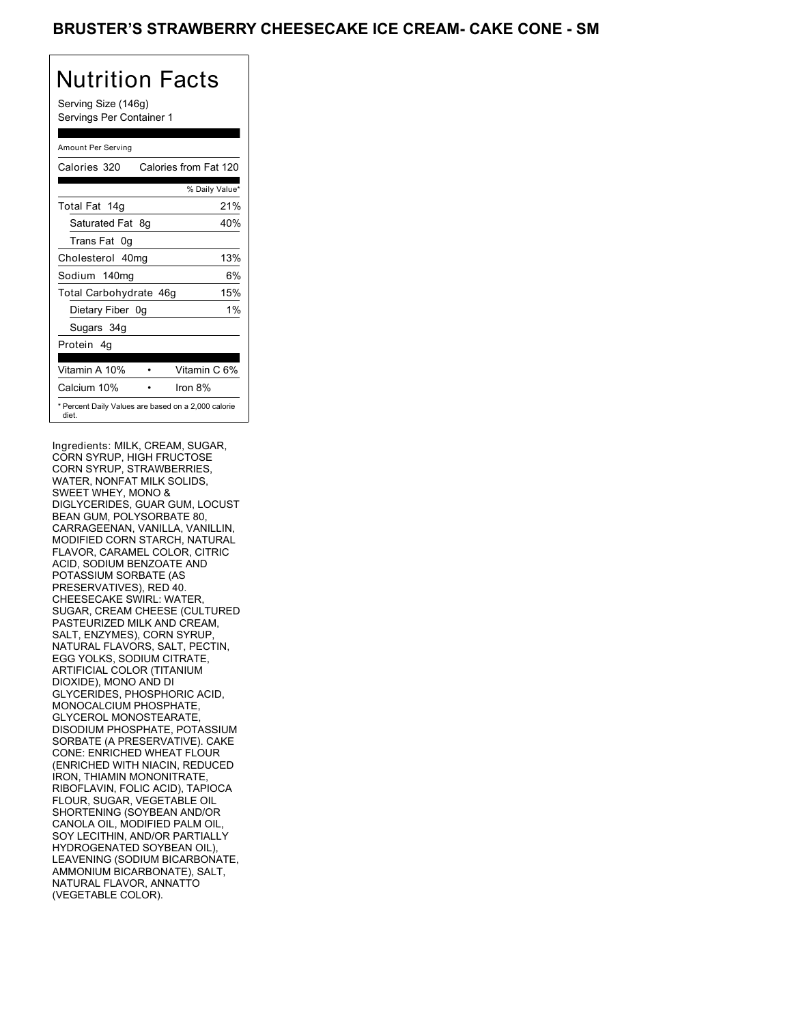### BRUSTER'S STRAWBERRY CHEESECAKE ICE CREAM- CAKE CONE - SM

# Nutrition Facts

Serving Size (146g) Servings Per Container 1

#### Amount Per Serving

| Calories 320           | Calories from Fat 120                               |
|------------------------|-----------------------------------------------------|
|                        | % Daily Value*                                      |
| Total Fat 14g          | 21%                                                 |
| Saturated Fat 8g       | 40%                                                 |
| Trans Fat 0q           |                                                     |
| Cholesterol 40mg       | 13%                                                 |
| Sodium 140mg           | 6%                                                  |
| Total Carbohydrate 46g | 15%                                                 |
| Dietary Fiber 0g       | $1\%$                                               |
| Sugars 34g             |                                                     |
| Protein 4q             |                                                     |
| Vitamin A 10%          | Vitamin C 6%                                        |
| Calcium 10%            | Iron $8\%$                                          |
| diet.                  | * Percent Daily Values are based on a 2,000 calorie |

Ingredients: MILK, CREAM, SUGAR, CORN SYRUP, HIGH FRUCTOSE CORN SYRUP, STRAWBERRIES, WATER, NONFAT MILK SOLIDS, SWEET WHEY, MONO & DIGLYCERIDES, GUAR GUM, LOCUST BEAN GUM, POLYSORBATE 80, CARRAGEENAN, VANILLA, VANILLIN, MODIFIED CORN STARCH, NATURAL FLAVOR, CARAMEL COLOR, CITRIC ACID, SODIUM BENZOATE AND POTASSIUM SORBATE (AS PRESERVATIVES), RED 40. CHEESECAKE SWIRL: WATER, SUGAR, CREAM CHEESE (CULTURED PASTEURIZED MILK AND CREAM, SALT, ENZYMES), CORN SYRUP NATURAL FLAVORS, SALT, PECTIN, EGG YOLKS, SODIUM CITRATE, ARTIFICIAL COLOR (TITANIUM DIOXIDE), MONO AND DI GLYCERIDES, PHOSPHORIC ACID, MONOCALCIUM PHOSPHATE, GLYCEROL MONOSTEARATE, DISODIUM PHOSPHATE, POTASSIUM SORBATE (A PRESERVATIVE). CAKE CONE: ENRICHED WHEAT FLOUR (ENRICHED WITH NIACIN, REDUCED IRON, THIAMIN MONONITRATE, RIBOFLAVIN, FOLIC ACID), TAPIOCA FLOUR, SUGAR, VEGETABLE OIL SHORTENING (SOYBEAN AND/OR CANOLA OIL, MODIFIED PALM OIL, SOY LECITHIN, AND/OR PARTIALLY HYDROGENATED SOYBEAN OIL), LEAVENING (SODIUM BICARBONATE, AMMONIUM BICARBONATE), SALT, NATURAL FLAVOR, ANNATTO (VEGETABLE COLOR).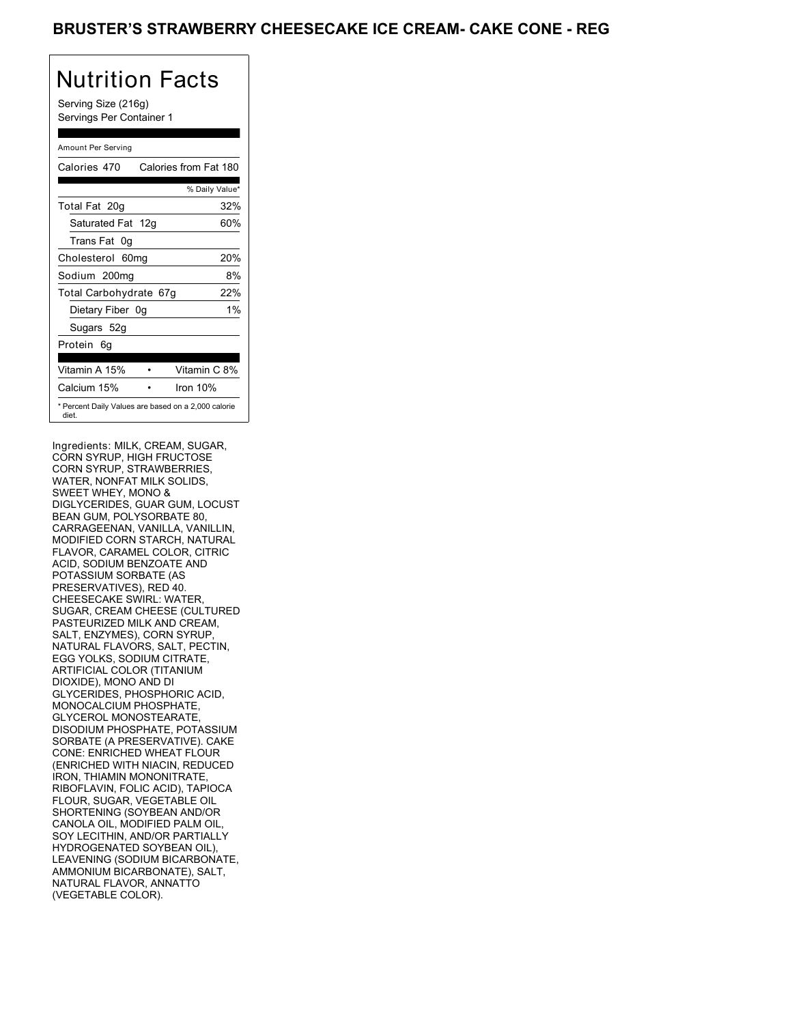### BRUSTER'S STRAWBERRY CHEESECAKE ICE CREAM- CAKE CONE - REG

# Nutrition Facts

Serving Size (216g) Servings Per Container 1

### Amount Per Serving

| Calories 470                                                 | Calories from Fat 180 |
|--------------------------------------------------------------|-----------------------|
|                                                              | % Daily Value*        |
| Total Fat 20g                                                | 32%                   |
| Saturated Fat 12g                                            | 60%                   |
| Trans Fat 0q                                                 |                       |
| Cholesterol 60mg                                             | 20%                   |
| Sodium 200mg                                                 | 8%                    |
| Total Carbohydrate 67g                                       | 22%                   |
| Dietary Fiber 0g                                             | $1\%$                 |
| Sugars 52g                                                   |                       |
| Protein 6q                                                   |                       |
| Vitamin A 15%                                                | Vitamin C 8%          |
| Calcium 15%                                                  | Iron 10%              |
| * Percent Daily Values are based on a 2,000 calorie<br>diet. |                       |

Ingredients: MILK, CREAM, SUGAR, CORN SYRUP, HIGH FRUCTOSE CORN SYRUP, STRAWBERRIES, WATER, NONFAT MILK SOLIDS, SWEET WHEY, MONO & DIGLYCERIDES, GUAR GUM, LOCUST BEAN GUM, POLYSORBATE 80, CARRAGEENAN, VANILLA, VANILLIN, MODIFIED CORN STARCH, NATURAL FLAVOR, CARAMEL COLOR, CITRIC ACID, SODIUM BENZOATE AND POTASSIUM SORBATE (AS PRESERVATIVES), RED 40. CHEESECAKE SWIRL: WATER, SUGAR, CREAM CHEESE (CULTURED PASTEURIZED MILK AND CREAM, SALT, ENZYMES), CORN SYRUP NATURAL FLAVORS, SALT, PECTIN, EGG YOLKS, SODIUM CITRATE, ARTIFICIAL COLOR (TITANIUM DIOXIDE), MONO AND DI GLYCERIDES, PHOSPHORIC ACID, MONOCALCIUM PHOSPHATE, GLYCEROL MONOSTEARATE, DISODIUM PHOSPHATE, POTASSIUM SORBATE (A PRESERVATIVE). CAKE CONE: ENRICHED WHEAT FLOUR (ENRICHED WITH NIACIN, REDUCED IRON, THIAMIN MONONITRATE, RIBOFLAVIN, FOLIC ACID), TAPIOCA FLOUR, SUGAR, VEGETABLE OIL SHORTENING (SOYBEAN AND/OR CANOLA OIL, MODIFIED PALM OIL, SOY LECITHIN, AND/OR PARTIALLY HYDROGENATED SOYBEAN OIL), LEAVENING (SODIUM BICARBONATE, AMMONIUM BICARBONATE), SALT, NATURAL FLAVOR, ANNATTO (VEGETABLE COLOR).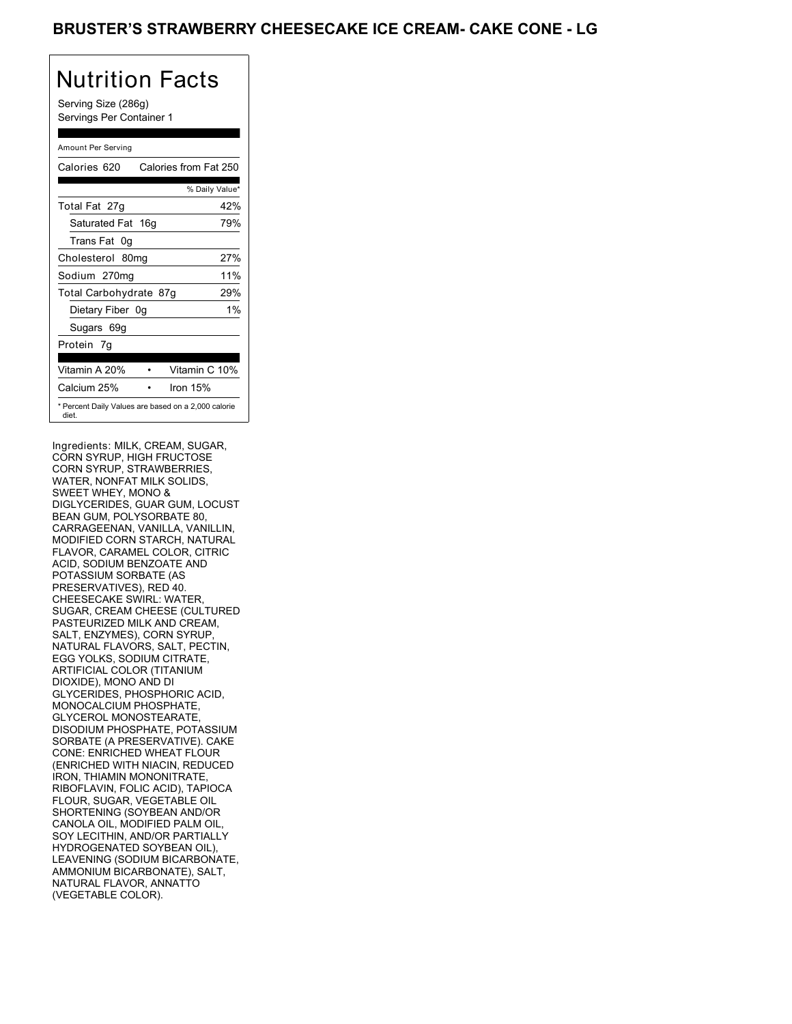### BRUSTER'S STRAWBERRY CHEESECAKE ICE CREAM- CAKE CONE - LG

# Nutrition Facts

Serving Size (286g) Servings Per Container 1

### Amount Per Serving

| Calories 620                                                 | Calories from Fat 250 |       |
|--------------------------------------------------------------|-----------------------|-------|
|                                                              | % Daily Value*        |       |
| Total Fat 27g                                                |                       | 42%   |
| Saturated Fat 16g                                            |                       | 79%   |
| Trans Fat 0q                                                 |                       |       |
| Cholesterol 80mg                                             |                       | 27%   |
| Sodium 270mg                                                 |                       | 11%   |
| Total Carbohydrate 87g                                       |                       | 29%   |
| Dietary Fiber 0g                                             |                       | $1\%$ |
| Sugars 69g                                                   |                       |       |
| Protein 7q                                                   |                       |       |
| Vitamin A 20%                                                | Vitamin C 10%         |       |
| Calcium 25%                                                  | Iron 15%              |       |
| * Percent Daily Values are based on a 2,000 calorie<br>diet. |                       |       |

Ingredients: MILK, CREAM, SUGAR, CORN SYRUP, HIGH FRUCTOSE CORN SYRUP, STRAWBERRIES, WATER, NONFAT MILK SOLIDS, SWEET WHEY, MONO & DIGLYCERIDES, GUAR GUM, LOCUST BEAN GUM, POLYSORBATE 80, CARRAGEENAN, VANILLA, VANILLIN, MODIFIED CORN STARCH, NATURAL FLAVOR, CARAMEL COLOR, CITRIC ACID, SODIUM BENZOATE AND POTASSIUM SORBATE (AS PRESERVATIVES), RED 40. CHEESECAKE SWIRL: WATER, SUGAR, CREAM CHEESE (CULTURED PASTEURIZED MILK AND CREAM, SALT, ENZYMES), CORN SYRUP NATURAL FLAVORS, SALT, PECTIN, EGG YOLKS, SODIUM CITRATE, ARTIFICIAL COLOR (TITANIUM DIOXIDE), MONO AND DI GLYCERIDES, PHOSPHORIC ACID, MONOCALCIUM PHOSPHATE, GLYCEROL MONOSTEARATE, DISODIUM PHOSPHATE, POTASSIUM SORBATE (A PRESERVATIVE). CAKE CONE: ENRICHED WHEAT FLOUR (ENRICHED WITH NIACIN, REDUCED IRON, THIAMIN MONONITRATE, RIBOFLAVIN, FOLIC ACID), TAPIOCA FLOUR, SUGAR, VEGETABLE OIL SHORTENING (SOYBEAN AND/OR CANOLA OIL, MODIFIED PALM OIL, SOY LECITHIN, AND/OR PARTIALLY HYDROGENATED SOYBEAN OIL), LEAVENING (SODIUM BICARBONATE, AMMONIUM BICARBONATE), SALT, NATURAL FLAVOR, ANNATTO (VEGETABLE COLOR).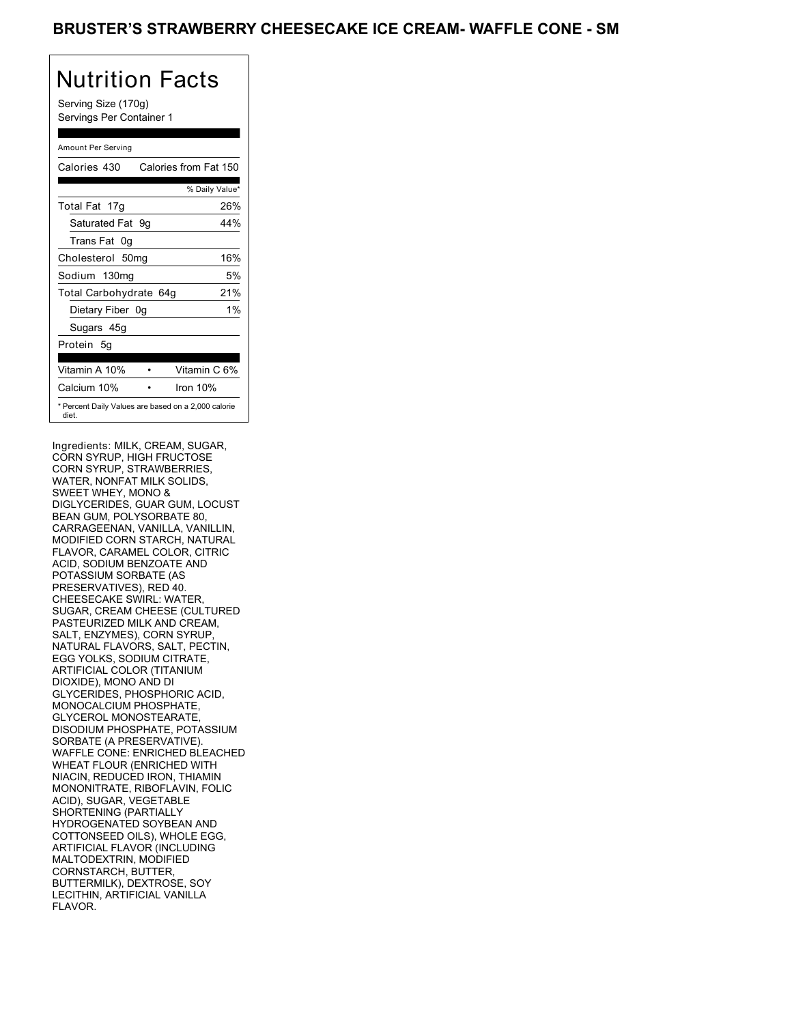Serving Size (170g) Servings Per Container 1

### Amount Per Serving

| Calories 430           | Calories from Fat 150                               |
|------------------------|-----------------------------------------------------|
|                        | % Daily Value*                                      |
| Total Fat 17g          | 26%                                                 |
| Saturated Fat 9g       | 44%                                                 |
| Trans Fat 0q           |                                                     |
| Cholesterol 50mg       | 16%                                                 |
| Sodium 130mg           | 5%                                                  |
| Total Carbohydrate 64g | 21%                                                 |
| Dietary Fiber 0g       | $1\%$                                               |
| Sugars 45g             |                                                     |
| Protein 5q             |                                                     |
| Vitamin A 10%          | Vitamin C 6%                                        |
| Calcium 10%            | Iron 10%                                            |
| diet.                  | * Percent Daily Values are based on a 2,000 calorie |

Ingredients: MILK, CREAM, SUGAR, CORN SYRUP, HIGH FRUCTOSE CORN SYRUP, STRAWBERRIES, WATER, NONFAT MILK SOLIDS, SWEET WHEY, MONO & DIGLYCERIDES, GUAR GUM, LOCUST BEAN GUM, POLYSORBATE 80, CARRAGEENAN, VANILLA, VANILLIN, MODIFIED CORN STARCH, NATURAL FLAVOR, CARAMEL COLOR, CITRIC ACID, SODIUM BENZOATE AND POTASSIUM SORBATE (AS PRESERVATIVES), RED 40. CHEESECAKE SWIRL: WATER, SUGAR, CREAM CHEESE (CULTURED PASTEURIZED MILK AND CREAM, SALT, ENZYMES), CORN SYRUP NATURAL FLAVORS, SALT, PECTIN, EGG YOLKS, SODIUM CITRATE, ARTIFICIAL COLOR (TITANIUM DIOXIDE), MONO AND DI GLYCERIDES, PHOSPHORIC ACID, MONOCALCIUM PHOSPHATE, GLYCEROL MONOSTEARATE, DISODIUM PHOSPHATE, POTASSIUM SORBATE (A PRESERVATIVE). WAFFLE CONE: ENRICHED BLEACHED WHEAT FLOUR (ENRICHED WITH NIACIN, REDUCED IRON, THIAMIN MONONITRATE, RIBOFLAVIN, FOLIC ACID), SUGAR, VEGETABLE SHORTENING (PARTIALLY HYDROGENATED SOYBEAN AND COTTONSEED OILS), WHOLE EGG, ARTIFICIAL FLAVOR (INCLUDING MALTODEXTRIN, MODIFIED CORNSTARCH, BUTTER, BUTTERMILK), DEXTROSE, SOY LECITHIN, ARTIFICIAL VANILLA FLAVOR.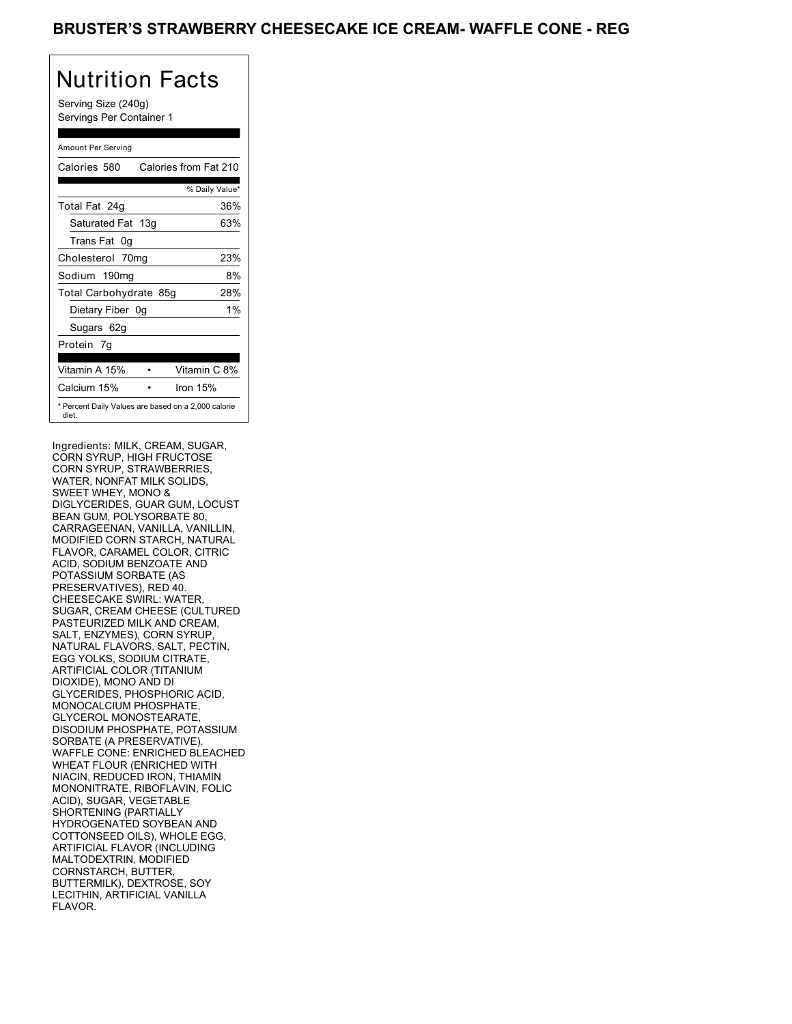Serving Size (240g) Servings Per Container 1

### Amount Per Serving

| Calories 580                                                 | Calories from Fat 210 |
|--------------------------------------------------------------|-----------------------|
|                                                              | % Daily Value*        |
| Total Fat 24g                                                | 36%                   |
| Saturated Fat 13g                                            | 63%                   |
| Trans Fat 0q                                                 |                       |
| Cholesterol 70mg                                             | 23%                   |
| Sodium 190mg                                                 | 8%                    |
| Total Carbohydrate 85g                                       | 28%                   |
| Dietary Fiber 0g                                             | $1\%$                 |
| Sugars 62g                                                   |                       |
| Protein 7q                                                   |                       |
| Vitamin A 15%                                                | Vitamin C 8%          |
| Calcium 15%                                                  | Iron $15%$            |
| * Percent Daily Values are based on a 2,000 calorie<br>diet. |                       |

Ingredients: MILK, CREAM, SUGAR, CORN SYRUP, HIGH FRUCTOSE CORN SYRUP, STRAWBERRIES, WATER, NONFAT MILK SOLIDS, SWEET WHEY, MONO & DIGLYCERIDES, GUAR GUM, LOCUST BEAN GUM, POLYSORBATE 80, CARRAGEENAN, VANILLA, VANILLIN, MODIFIED CORN STARCH, NATURAL FLAVOR, CARAMEL COLOR, CITRIC ACID, SODIUM BENZOATE AND POTASSIUM SORBATE (AS PRESERVATIVES), RED 40. CHEESECAKE SWIRL: WATER, SUGAR, CREAM CHEESE (CULTURED PASTEURIZED MILK AND CREAM, SALT, ENZYMES), CORN SYRUP NATURAL FLAVORS, SALT, PECTIN, EGG YOLKS, SODIUM CITRATE, ARTIFICIAL COLOR (TITANIUM DIOXIDE), MONO AND DI GLYCERIDES, PHOSPHORIC ACID, MONOCALCIUM PHOSPHATE, GLYCEROL MONOSTEARATE, DISODIUM PHOSPHATE, POTASSIUM SORBATE (A PRESERVATIVE). WAFFLE CONE: ENRICHED BLEACHED WHEAT FLOUR (ENRICHED WITH NIACIN, REDUCED IRON, THIAMIN MONONITRATE, RIBOFLAVIN, FOLIC ACID), SUGAR, VEGETABLE SHORTENING (PARTIALLY HYDROGENATED SOYBEAN AND COTTONSEED OILS), WHOLE EGG, ARTIFICIAL FLAVOR (INCLUDING MALTODEXTRIN, MODIFIED CORNSTARCH, BUTTER, BUTTERMILK), DEXTROSE, SOY LECITHIN, ARTIFICIAL VANILLA FLAVOR.